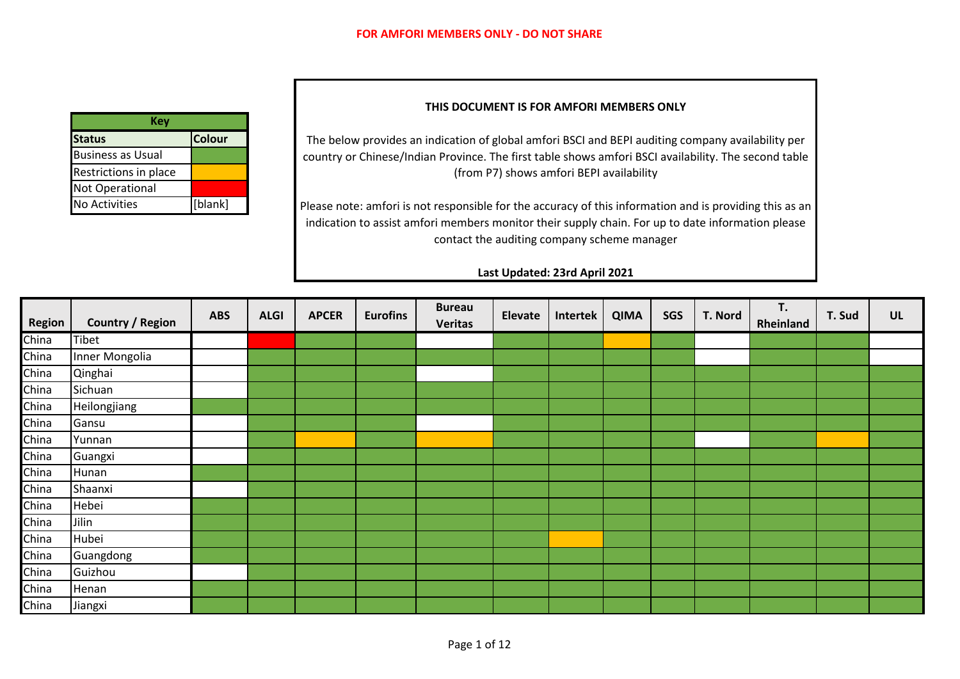| Kev                      |               |
|--------------------------|---------------|
| <b>Status</b>            | <b>Colour</b> |
| <b>Business as Usual</b> |               |
| Restrictions in place    |               |
| <b>Not Operational</b>   |               |
| No Activities            | [blank]       |

## **THIS DOCUMENT IS FOR AMFORI MEMBERS ONLY**

The below provides an indication of global amfori BSCI and BEPI auditing company availability per country or Chinese/Indian Province. The first table shows amfori BSCI availability. The second table (from P7) shows amfori BEPI availability

Please note: amfori is not responsible for the accuracy of this information and is providing this as an indication to assist amfori members monitor their supply chain. For up to date information please contact the auditing company scheme manager

## **Last Updated: 23rd April 2021**

| Region | <b>Country / Region</b> | <b>ABS</b> | <b>ALGI</b> | <b>APCER</b> | <b>Eurofins</b> | <b>Bureau</b><br><b>Veritas</b> | Elevate | Intertek | <b>QIMA</b> | SGS | T. Nord | T.<br>Rheinland | T. Sud | UL |
|--------|-------------------------|------------|-------------|--------------|-----------------|---------------------------------|---------|----------|-------------|-----|---------|-----------------|--------|----|
| China  | Tibet                   |            |             |              |                 |                                 |         |          |             |     |         |                 |        |    |
| China  | Inner Mongolia          |            |             |              |                 |                                 |         |          |             |     |         |                 |        |    |
| China  | Qinghai                 |            |             |              |                 |                                 |         |          |             |     |         |                 |        |    |
| China  | Sichuan                 |            |             |              |                 |                                 |         |          |             |     |         |                 |        |    |
| China  | Heilongjiang            |            |             |              |                 |                                 |         |          |             |     |         |                 |        |    |
| China  | Gansu                   |            |             |              |                 |                                 |         |          |             |     |         |                 |        |    |
| China  | Yunnan                  |            |             |              |                 |                                 |         |          |             |     |         |                 |        |    |
| China  | Guangxi                 |            |             |              |                 |                                 |         |          |             |     |         |                 |        |    |
| China  | Hunan                   |            |             |              |                 |                                 |         |          |             |     |         |                 |        |    |
| China  | Shaanxi                 |            |             |              |                 |                                 |         |          |             |     |         |                 |        |    |
| China  | Hebei                   |            |             |              |                 |                                 |         |          |             |     |         |                 |        |    |
| China  | Jilin                   |            |             |              |                 |                                 |         |          |             |     |         |                 |        |    |
| China  | Hubei                   |            |             |              |                 |                                 |         |          |             |     |         |                 |        |    |
| China  | Guangdong               |            |             |              |                 |                                 |         |          |             |     |         |                 |        |    |
| China  | Guizhou                 |            |             |              |                 |                                 |         |          |             |     |         |                 |        |    |
| China  | Henan                   |            |             |              |                 |                                 |         |          |             |     |         |                 |        |    |
| China  | Jiangxi                 |            |             |              |                 |                                 |         |          |             |     |         |                 |        |    |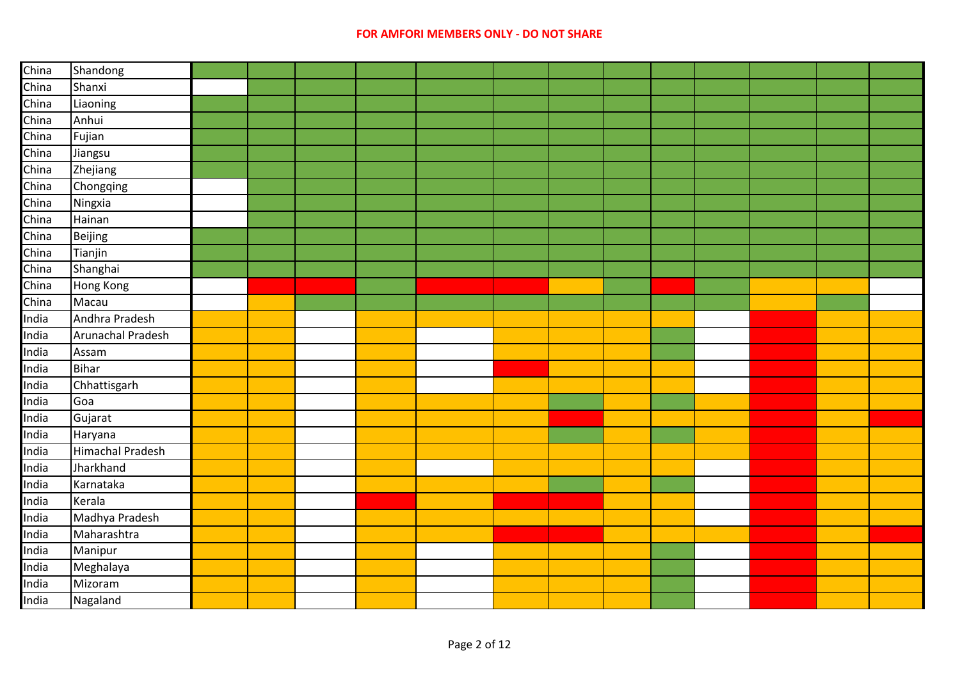| China | Shandong          |  |  |  |  |  |  |  |
|-------|-------------------|--|--|--|--|--|--|--|
| China | Shanxi            |  |  |  |  |  |  |  |
| China | Liaoning          |  |  |  |  |  |  |  |
| China | Anhui             |  |  |  |  |  |  |  |
| China | Fujian            |  |  |  |  |  |  |  |
| China | Jiangsu           |  |  |  |  |  |  |  |
| China | Zhejiang          |  |  |  |  |  |  |  |
| China | Chongqing         |  |  |  |  |  |  |  |
| China | Ningxia           |  |  |  |  |  |  |  |
| China | Hainan            |  |  |  |  |  |  |  |
| China | Beijing           |  |  |  |  |  |  |  |
| China | Tianjin           |  |  |  |  |  |  |  |
| China | Shanghai          |  |  |  |  |  |  |  |
| China | Hong Kong         |  |  |  |  |  |  |  |
| China | Macau             |  |  |  |  |  |  |  |
| India | Andhra Pradesh    |  |  |  |  |  |  |  |
| India | Arunachal Pradesh |  |  |  |  |  |  |  |
| India | Assam             |  |  |  |  |  |  |  |
| India | Bihar             |  |  |  |  |  |  |  |
| India | Chhattisgarh      |  |  |  |  |  |  |  |
| India | Goa               |  |  |  |  |  |  |  |
| India | Gujarat           |  |  |  |  |  |  |  |
| India | Haryana           |  |  |  |  |  |  |  |
| India | Himachal Pradesh  |  |  |  |  |  |  |  |
| India | Jharkhand         |  |  |  |  |  |  |  |
| India | Karnataka         |  |  |  |  |  |  |  |
| India | Kerala            |  |  |  |  |  |  |  |
| India | Madhya Pradesh    |  |  |  |  |  |  |  |
| India | Maharashtra       |  |  |  |  |  |  |  |
| India | Manipur           |  |  |  |  |  |  |  |
| India | Meghalaya         |  |  |  |  |  |  |  |
| India | Mizoram           |  |  |  |  |  |  |  |
| India | Nagaland          |  |  |  |  |  |  |  |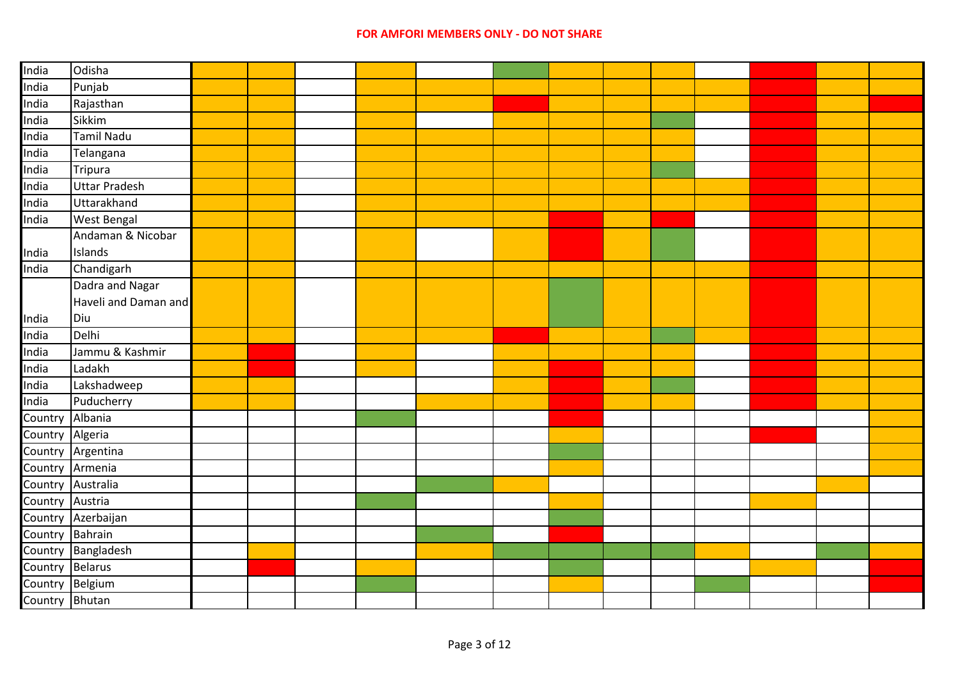| India           | Odisha               |  |  |  |  |  |  |  |
|-----------------|----------------------|--|--|--|--|--|--|--|
| India           | Punjab               |  |  |  |  |  |  |  |
| India           | Rajasthan            |  |  |  |  |  |  |  |
| India           | Sikkim               |  |  |  |  |  |  |  |
| India           | <b>Tamil Nadu</b>    |  |  |  |  |  |  |  |
| India           | Telangana            |  |  |  |  |  |  |  |
| India           | Tripura              |  |  |  |  |  |  |  |
| India           | <b>Uttar Pradesh</b> |  |  |  |  |  |  |  |
| India           | Uttarakhand          |  |  |  |  |  |  |  |
| India           | <b>West Bengal</b>   |  |  |  |  |  |  |  |
|                 | Andaman & Nicobar    |  |  |  |  |  |  |  |
| India           | Islands              |  |  |  |  |  |  |  |
| India           | Chandigarh           |  |  |  |  |  |  |  |
|                 | Dadra and Nagar      |  |  |  |  |  |  |  |
|                 | Haveli and Daman and |  |  |  |  |  |  |  |
| India           | Diu                  |  |  |  |  |  |  |  |
| India           | Delhi                |  |  |  |  |  |  |  |
| India           | Jammu & Kashmir      |  |  |  |  |  |  |  |
| India           | Ladakh               |  |  |  |  |  |  |  |
| India           | Lakshadweep          |  |  |  |  |  |  |  |
| India           | Puducherry           |  |  |  |  |  |  |  |
| Country         | Albania              |  |  |  |  |  |  |  |
| Country Algeria |                      |  |  |  |  |  |  |  |
|                 | Country Argentina    |  |  |  |  |  |  |  |
| Country Armenia |                      |  |  |  |  |  |  |  |
|                 | Country Australia    |  |  |  |  |  |  |  |
| Country Austria |                      |  |  |  |  |  |  |  |
|                 | Country Azerbaijan   |  |  |  |  |  |  |  |
| Country Bahrain |                      |  |  |  |  |  |  |  |
|                 | Country Bangladesh   |  |  |  |  |  |  |  |
| Country Belarus |                      |  |  |  |  |  |  |  |
| Country Belgium |                      |  |  |  |  |  |  |  |
| Country Bhutan  |                      |  |  |  |  |  |  |  |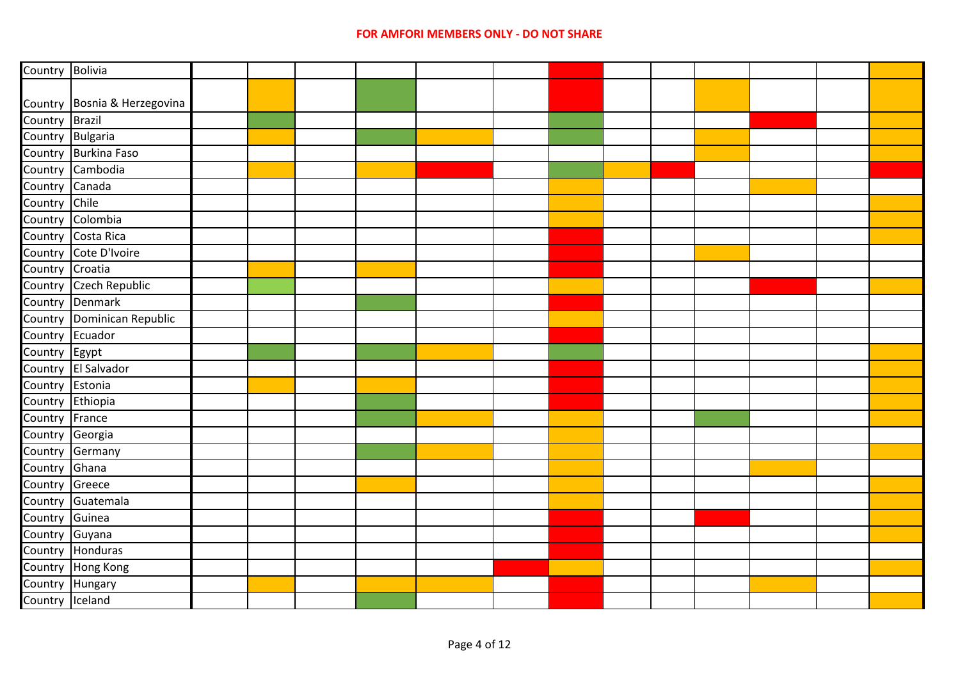| Country Bolivia  |                              |  |  |  |  |  |  |  |
|------------------|------------------------------|--|--|--|--|--|--|--|
|                  |                              |  |  |  |  |  |  |  |
|                  | Country Bosnia & Herzegovina |  |  |  |  |  |  |  |
| Country Brazil   |                              |  |  |  |  |  |  |  |
| Country Bulgaria |                              |  |  |  |  |  |  |  |
|                  | Country Burkina Faso         |  |  |  |  |  |  |  |
|                  | Country Cambodia             |  |  |  |  |  |  |  |
| Country Canada   |                              |  |  |  |  |  |  |  |
| Country          | Chile                        |  |  |  |  |  |  |  |
|                  | Country Colombia             |  |  |  |  |  |  |  |
|                  | Country Costa Rica           |  |  |  |  |  |  |  |
|                  | Country Cote D'Ivoire        |  |  |  |  |  |  |  |
| Country Croatia  |                              |  |  |  |  |  |  |  |
|                  | Country Czech Republic       |  |  |  |  |  |  |  |
|                  | Country Denmark              |  |  |  |  |  |  |  |
|                  | Country Dominican Republic   |  |  |  |  |  |  |  |
| Country Ecuador  |                              |  |  |  |  |  |  |  |
| Country Egypt    |                              |  |  |  |  |  |  |  |
|                  | Country El Salvador          |  |  |  |  |  |  |  |
| Country Estonia  |                              |  |  |  |  |  |  |  |
| Country Ethiopia |                              |  |  |  |  |  |  |  |
| Country France   |                              |  |  |  |  |  |  |  |
| Country Georgia  |                              |  |  |  |  |  |  |  |
|                  | Country Germany              |  |  |  |  |  |  |  |
| Country Ghana    |                              |  |  |  |  |  |  |  |
| Country Greece   |                              |  |  |  |  |  |  |  |
|                  | Country Guatemala            |  |  |  |  |  |  |  |
| Country Guinea   |                              |  |  |  |  |  |  |  |
| Country Guyana   |                              |  |  |  |  |  |  |  |
|                  | Country Honduras             |  |  |  |  |  |  |  |
|                  | Country Hong Kong            |  |  |  |  |  |  |  |
| Country Hungary  |                              |  |  |  |  |  |  |  |
| Country Iceland  |                              |  |  |  |  |  |  |  |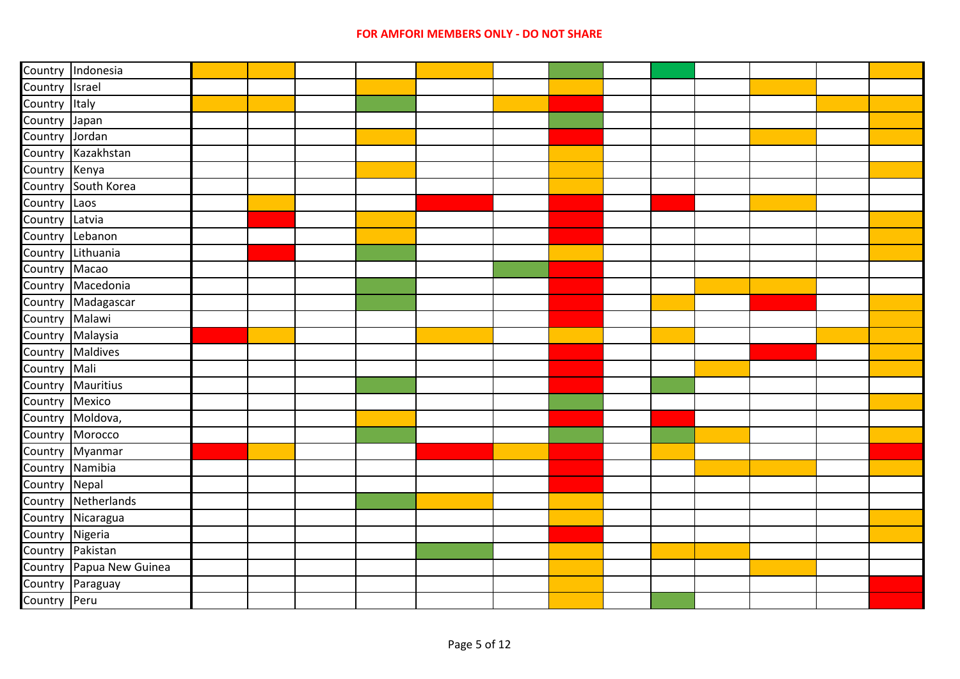|                 | Country Indonesia        |  |  |  |  |  |  |  |
|-----------------|--------------------------|--|--|--|--|--|--|--|
| Country Israel  |                          |  |  |  |  |  |  |  |
| Country Italy   |                          |  |  |  |  |  |  |  |
| Country Japan   |                          |  |  |  |  |  |  |  |
| Country Jordan  |                          |  |  |  |  |  |  |  |
|                 | Country Kazakhstan       |  |  |  |  |  |  |  |
| Country Kenya   |                          |  |  |  |  |  |  |  |
|                 | Country South Korea      |  |  |  |  |  |  |  |
| Country Laos    |                          |  |  |  |  |  |  |  |
| Country Latvia  |                          |  |  |  |  |  |  |  |
|                 | Country Lebanon          |  |  |  |  |  |  |  |
|                 | Country Lithuania        |  |  |  |  |  |  |  |
| Country Macao   |                          |  |  |  |  |  |  |  |
|                 | Country Macedonia        |  |  |  |  |  |  |  |
|                 | Country Madagascar       |  |  |  |  |  |  |  |
| Country Malawi  |                          |  |  |  |  |  |  |  |
|                 | Country Malaysia         |  |  |  |  |  |  |  |
|                 | Country Maldives         |  |  |  |  |  |  |  |
| Country Mali    |                          |  |  |  |  |  |  |  |
|                 | Country Mauritius        |  |  |  |  |  |  |  |
| Country Mexico  |                          |  |  |  |  |  |  |  |
|                 | Country Moldova,         |  |  |  |  |  |  |  |
|                 | Country Morocco          |  |  |  |  |  |  |  |
|                 | Country Myanmar          |  |  |  |  |  |  |  |
|                 | Country Namibia          |  |  |  |  |  |  |  |
| Country Nepal   |                          |  |  |  |  |  |  |  |
|                 | Country Netherlands      |  |  |  |  |  |  |  |
|                 | Country Nicaragua        |  |  |  |  |  |  |  |
| Country Nigeria |                          |  |  |  |  |  |  |  |
|                 | Country Pakistan         |  |  |  |  |  |  |  |
|                 | Country Papua New Guinea |  |  |  |  |  |  |  |
|                 | Country Paraguay         |  |  |  |  |  |  |  |
| Country Peru    |                          |  |  |  |  |  |  |  |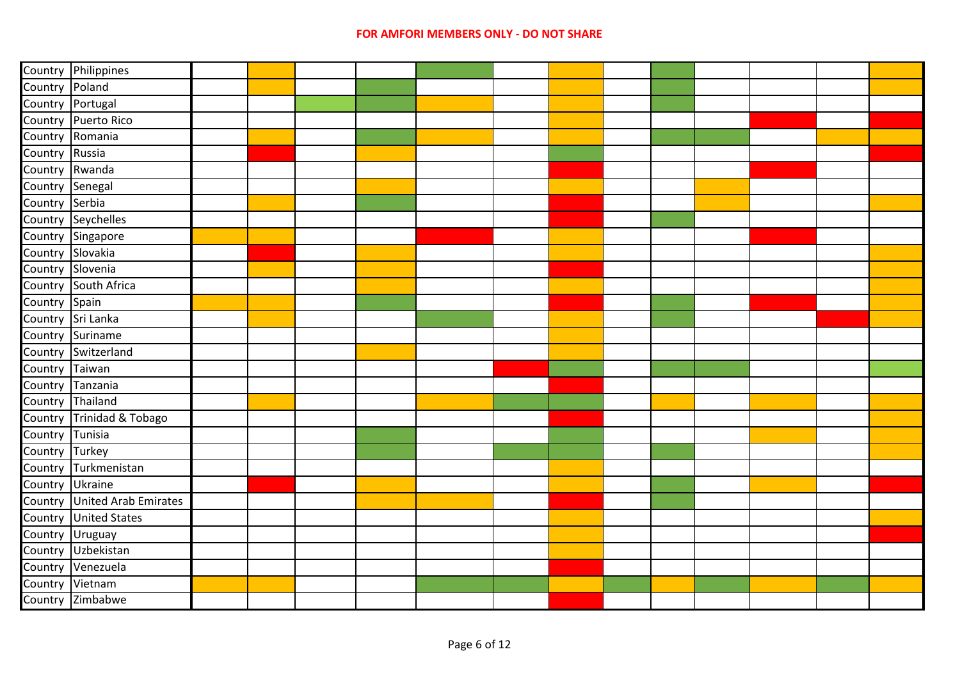|                                    | Country Philippines                  |  |  |  |  |  |  |  |
|------------------------------------|--------------------------------------|--|--|--|--|--|--|--|
| Country Poland                     |                                      |  |  |  |  |  |  |  |
| Country Portugal                   |                                      |  |  |  |  |  |  |  |
|                                    | Country Puerto Rico                  |  |  |  |  |  |  |  |
| Country Romania                    |                                      |  |  |  |  |  |  |  |
| Country Russia                     |                                      |  |  |  |  |  |  |  |
| Country Rwanda                     |                                      |  |  |  |  |  |  |  |
| Country Senegal                    |                                      |  |  |  |  |  |  |  |
| Country Serbia                     |                                      |  |  |  |  |  |  |  |
|                                    | Country Seychelles                   |  |  |  |  |  |  |  |
|                                    | Country Singapore                    |  |  |  |  |  |  |  |
| Country Slovakia                   |                                      |  |  |  |  |  |  |  |
| Country Slovenia                   |                                      |  |  |  |  |  |  |  |
|                                    | Country South Africa                 |  |  |  |  |  |  |  |
| Country Spain                      |                                      |  |  |  |  |  |  |  |
| Country Sri Lanka                  |                                      |  |  |  |  |  |  |  |
|                                    | Country Suriname                     |  |  |  |  |  |  |  |
|                                    | Country Switzerland                  |  |  |  |  |  |  |  |
| Country Taiwan<br>Country Tanzania |                                      |  |  |  |  |  |  |  |
|                                    |                                      |  |  |  |  |  |  |  |
| Country Thailand                   |                                      |  |  |  |  |  |  |  |
|                                    | Country Trinidad & Tobago            |  |  |  |  |  |  |  |
| Country Tunisia                    |                                      |  |  |  |  |  |  |  |
| Country Turkey                     |                                      |  |  |  |  |  |  |  |
|                                    | Country Turkmenistan                 |  |  |  |  |  |  |  |
| Country Ukraine                    |                                      |  |  |  |  |  |  |  |
|                                    | Country United Arab Emirates         |  |  |  |  |  |  |  |
|                                    | Country United States                |  |  |  |  |  |  |  |
| Country Uruguay                    |                                      |  |  |  |  |  |  |  |
|                                    | Country Uzbekistan                   |  |  |  |  |  |  |  |
|                                    | Country Venezuela<br>Country Vietnam |  |  |  |  |  |  |  |
|                                    |                                      |  |  |  |  |  |  |  |
|                                    | Country Zimbabwe                     |  |  |  |  |  |  |  |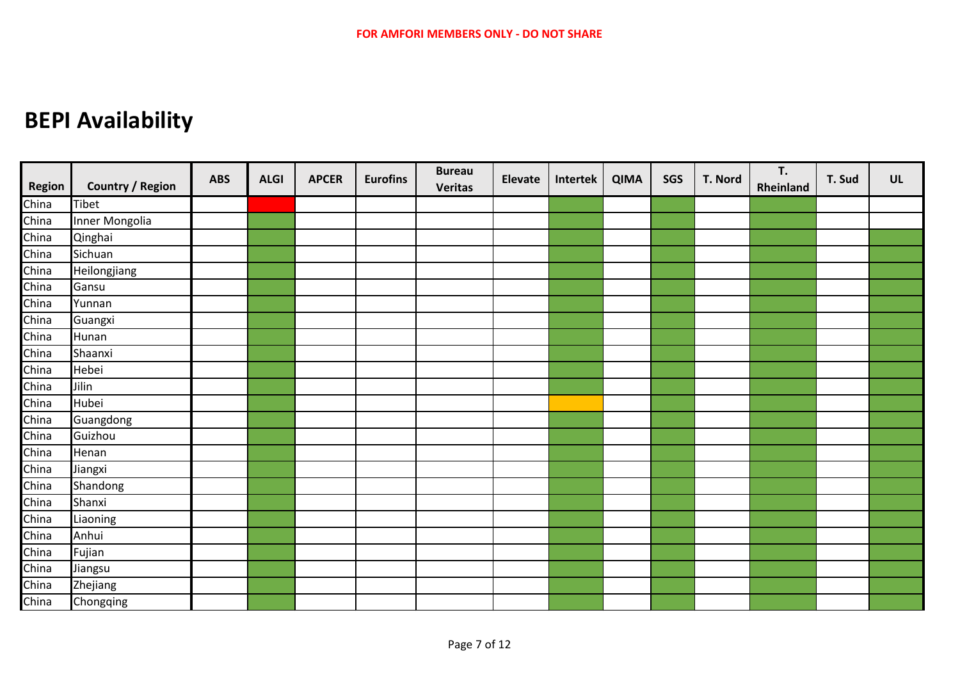## **BEPI Availability**

| <b>Region</b> | <b>Country / Region</b> | <b>ABS</b> | <b>ALGI</b> | <b>APCER</b> | <b>Eurofins</b> | <b>Bureau</b><br><b>Veritas</b> | <b>Elevate</b> | Intertek | <b>QIMA</b> | SGS | T. Nord | T.<br>Rheinland | T. Sud | UL |
|---------------|-------------------------|------------|-------------|--------------|-----------------|---------------------------------|----------------|----------|-------------|-----|---------|-----------------|--------|----|
| China         | <b>Tibet</b>            |            |             |              |                 |                                 |                |          |             |     |         |                 |        |    |
| China         | Inner Mongolia          |            |             |              |                 |                                 |                |          |             |     |         |                 |        |    |
| China         | Qinghai                 |            |             |              |                 |                                 |                |          |             |     |         |                 |        |    |
| China         | Sichuan                 |            |             |              |                 |                                 |                |          |             |     |         |                 |        |    |
| China         | Heilongjiang            |            |             |              |                 |                                 |                |          |             |     |         |                 |        |    |
| China         | Gansu                   |            |             |              |                 |                                 |                |          |             |     |         |                 |        |    |
| China         | Yunnan                  |            |             |              |                 |                                 |                |          |             |     |         |                 |        |    |
| China         | Guangxi                 |            |             |              |                 |                                 |                |          |             |     |         |                 |        |    |
| China         | Hunan                   |            |             |              |                 |                                 |                |          |             |     |         |                 |        |    |
| China         | Shaanxi                 |            |             |              |                 |                                 |                |          |             |     |         |                 |        |    |
| China         | Hebei                   |            |             |              |                 |                                 |                |          |             |     |         |                 |        |    |
| China         | Jilin                   |            |             |              |                 |                                 |                |          |             |     |         |                 |        |    |
| China         | Hubei                   |            |             |              |                 |                                 |                |          |             |     |         |                 |        |    |
| China         | Guangdong               |            |             |              |                 |                                 |                |          |             |     |         |                 |        |    |
| China         | Guizhou                 |            |             |              |                 |                                 |                |          |             |     |         |                 |        |    |
| China         | Henan                   |            |             |              |                 |                                 |                |          |             |     |         |                 |        |    |
| China         | Jiangxi                 |            |             |              |                 |                                 |                |          |             |     |         |                 |        |    |
| China         | Shandong                |            |             |              |                 |                                 |                |          |             |     |         |                 |        |    |
| China         | Shanxi                  |            |             |              |                 |                                 |                |          |             |     |         |                 |        |    |
| China         | Liaoning                |            |             |              |                 |                                 |                |          |             |     |         |                 |        |    |
| China         | Anhui                   |            |             |              |                 |                                 |                |          |             |     |         |                 |        |    |
| China         | Fujian                  |            |             |              |                 |                                 |                |          |             |     |         |                 |        |    |
| China         | <b>Jiangsu</b>          |            |             |              |                 |                                 |                |          |             |     |         |                 |        |    |
| China         | Zhejiang                |            |             |              |                 |                                 |                |          |             |     |         |                 |        |    |
| China         | Chongqing               |            |             |              |                 |                                 |                |          |             |     |         |                 |        |    |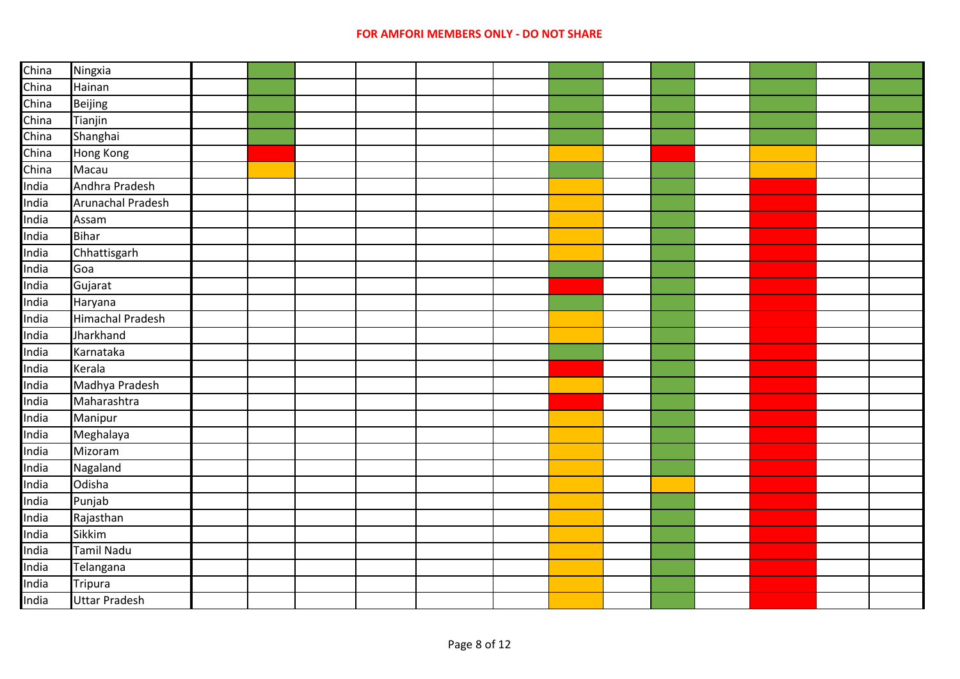## **FOR AMFORI MEMBERS ONLY - DO NOT SHARE**

| China          | Ningxia                 |  |  |  |  |  |  |  |
|----------------|-------------------------|--|--|--|--|--|--|--|
| China          | Hainan                  |  |  |  |  |  |  |  |
|                | Beijing                 |  |  |  |  |  |  |  |
| China<br>China | Tianjin                 |  |  |  |  |  |  |  |
| China          | Shanghai                |  |  |  |  |  |  |  |
| China          | Hong Kong               |  |  |  |  |  |  |  |
| China<br>India | Macau                   |  |  |  |  |  |  |  |
|                | Andhra Pradesh          |  |  |  |  |  |  |  |
| India          | Arunachal Pradesh       |  |  |  |  |  |  |  |
| India          | Assam                   |  |  |  |  |  |  |  |
| India          | <b>Bihar</b>            |  |  |  |  |  |  |  |
| India          | Chhattisgarh            |  |  |  |  |  |  |  |
| India          | Goa                     |  |  |  |  |  |  |  |
| India          | Gujarat                 |  |  |  |  |  |  |  |
| India          | Haryana                 |  |  |  |  |  |  |  |
| India          | <b>Himachal Pradesh</b> |  |  |  |  |  |  |  |
| India          | Jharkhand               |  |  |  |  |  |  |  |
| India          | Karnataka               |  |  |  |  |  |  |  |
| India          | Kerala                  |  |  |  |  |  |  |  |
| India          | Madhya Pradesh          |  |  |  |  |  |  |  |
| India          | Maharashtra             |  |  |  |  |  |  |  |
| India          | Manipur                 |  |  |  |  |  |  |  |
| India          | Meghalaya               |  |  |  |  |  |  |  |
| India          | Mizoram                 |  |  |  |  |  |  |  |
| India          | Nagaland                |  |  |  |  |  |  |  |
| India          | <b>Odisha</b>           |  |  |  |  |  |  |  |
| India          | Punjab                  |  |  |  |  |  |  |  |
| India          | Rajasthan               |  |  |  |  |  |  |  |
| India          | Sikkim                  |  |  |  |  |  |  |  |
| India          | Tamil Nadu              |  |  |  |  |  |  |  |
| India          | Telangana               |  |  |  |  |  |  |  |
| India          | <b>Tripura</b>          |  |  |  |  |  |  |  |
| India          | <b>Uttar Pradesh</b>    |  |  |  |  |  |  |  |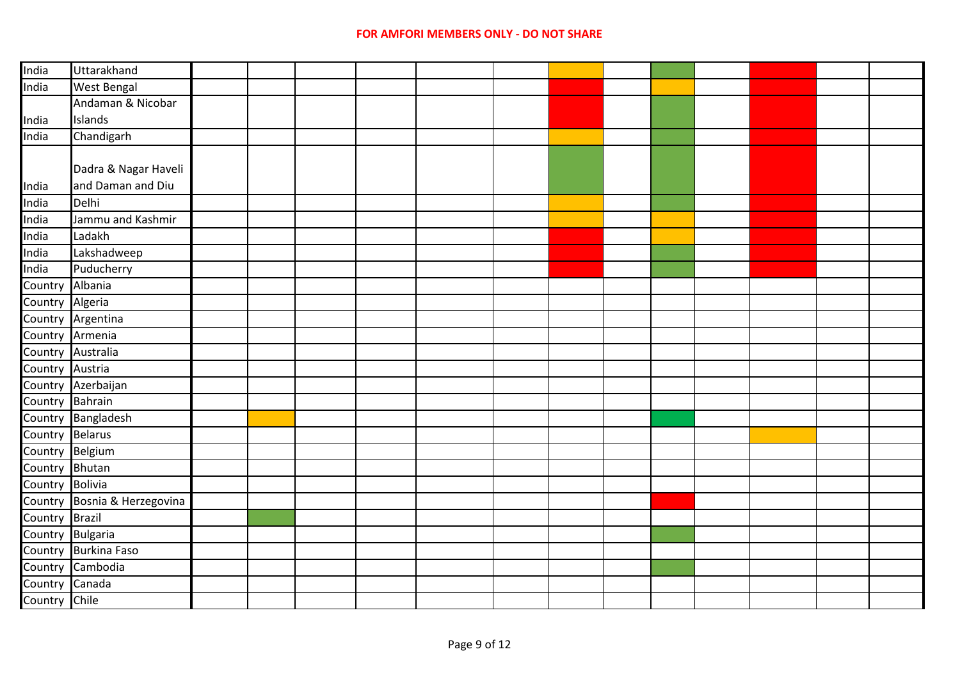| India             | Uttarakhand          |  |  |  |  |  |  |  |
|-------------------|----------------------|--|--|--|--|--|--|--|
| India             | <b>West Bengal</b>   |  |  |  |  |  |  |  |
|                   | Andaman & Nicobar    |  |  |  |  |  |  |  |
| India             | Islands              |  |  |  |  |  |  |  |
| India             | Chandigarh           |  |  |  |  |  |  |  |
|                   |                      |  |  |  |  |  |  |  |
|                   | Dadra & Nagar Haveli |  |  |  |  |  |  |  |
| India             | and Daman and Diu    |  |  |  |  |  |  |  |
| India             | Delhi                |  |  |  |  |  |  |  |
| India             | Jammu and Kashmir    |  |  |  |  |  |  |  |
| India             | Ladakh               |  |  |  |  |  |  |  |
| India             | Lakshadweep          |  |  |  |  |  |  |  |
| India             | Puducherry           |  |  |  |  |  |  |  |
| Country Albania   |                      |  |  |  |  |  |  |  |
| Country Algeria   |                      |  |  |  |  |  |  |  |
|                   | Country Argentina    |  |  |  |  |  |  |  |
| Country Armenia   |                      |  |  |  |  |  |  |  |
| Country Australia |                      |  |  |  |  |  |  |  |
| Country Austria   |                      |  |  |  |  |  |  |  |
|                   | Country Azerbaijan   |  |  |  |  |  |  |  |
| Country Bahrain   |                      |  |  |  |  |  |  |  |
|                   | Country Bangladesh   |  |  |  |  |  |  |  |
| Country Belarus   |                      |  |  |  |  |  |  |  |
| Country Belgium   |                      |  |  |  |  |  |  |  |
| Country Bhutan    |                      |  |  |  |  |  |  |  |
| Country Bolivia   |                      |  |  |  |  |  |  |  |
| Country           | Bosnia & Herzegovina |  |  |  |  |  |  |  |
| Country           | <b>Brazil</b>        |  |  |  |  |  |  |  |
| Country Bulgaria  |                      |  |  |  |  |  |  |  |
|                   | Country Burkina Faso |  |  |  |  |  |  |  |
| Country           | Cambodia             |  |  |  |  |  |  |  |
| Country           | Canada               |  |  |  |  |  |  |  |
| Country Chile     |                      |  |  |  |  |  |  |  |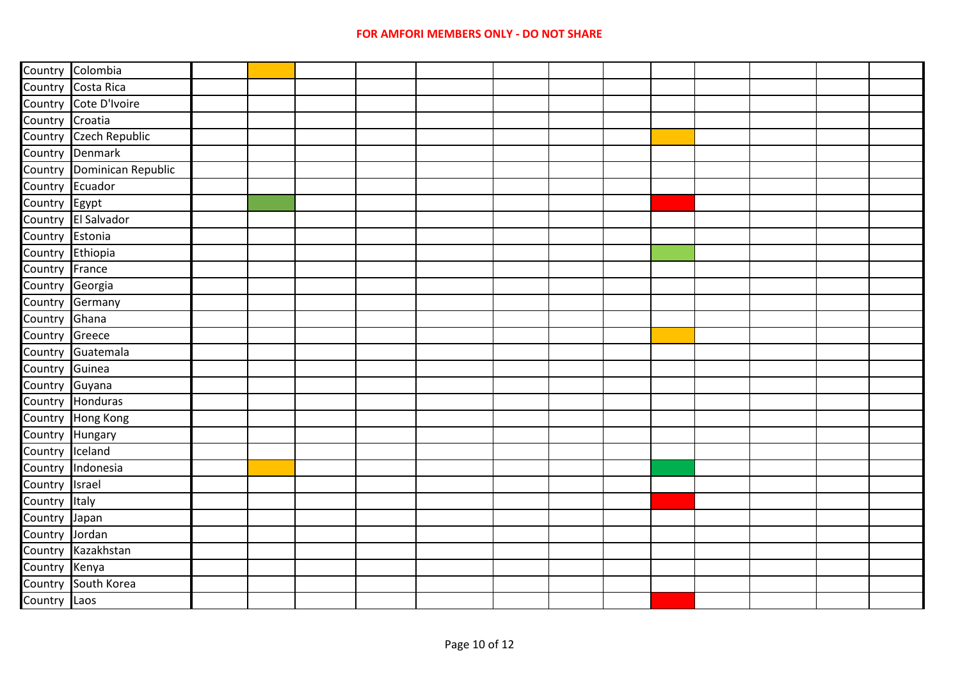|                  | Country Colombia           |  |  |  |  |  |  |  |
|------------------|----------------------------|--|--|--|--|--|--|--|
|                  | Country Costa Rica         |  |  |  |  |  |  |  |
|                  | Country Cote D'Ivoire      |  |  |  |  |  |  |  |
| Country Croatia  |                            |  |  |  |  |  |  |  |
|                  | Country Czech Republic     |  |  |  |  |  |  |  |
|                  | Country Denmark            |  |  |  |  |  |  |  |
|                  | Country Dominican Republic |  |  |  |  |  |  |  |
| Country Ecuador  |                            |  |  |  |  |  |  |  |
| Country Egypt    |                            |  |  |  |  |  |  |  |
|                  | Country El Salvador        |  |  |  |  |  |  |  |
| Country Estonia  |                            |  |  |  |  |  |  |  |
| Country Ethiopia |                            |  |  |  |  |  |  |  |
| Country France   |                            |  |  |  |  |  |  |  |
| Country Georgia  |                            |  |  |  |  |  |  |  |
|                  | Country Germany            |  |  |  |  |  |  |  |
| Country Ghana    |                            |  |  |  |  |  |  |  |
| Country Greece   |                            |  |  |  |  |  |  |  |
|                  | Country Guatemala          |  |  |  |  |  |  |  |
| Country Guinea   |                            |  |  |  |  |  |  |  |
| Country Guyana   |                            |  |  |  |  |  |  |  |
|                  | Country Honduras           |  |  |  |  |  |  |  |
|                  | Country Hong Kong          |  |  |  |  |  |  |  |
| Country Hungary  |                            |  |  |  |  |  |  |  |
| Country Iceland  |                            |  |  |  |  |  |  |  |
|                  | Country Indonesia          |  |  |  |  |  |  |  |
| Country Israel   |                            |  |  |  |  |  |  |  |
| Country Italy    |                            |  |  |  |  |  |  |  |
| Country Japan    |                            |  |  |  |  |  |  |  |
| Country Jordan   |                            |  |  |  |  |  |  |  |
|                  | Country Kazakhstan         |  |  |  |  |  |  |  |
| Country Kenya    |                            |  |  |  |  |  |  |  |
|                  | Country South Korea        |  |  |  |  |  |  |  |
| Country Laos     |                            |  |  |  |  |  |  |  |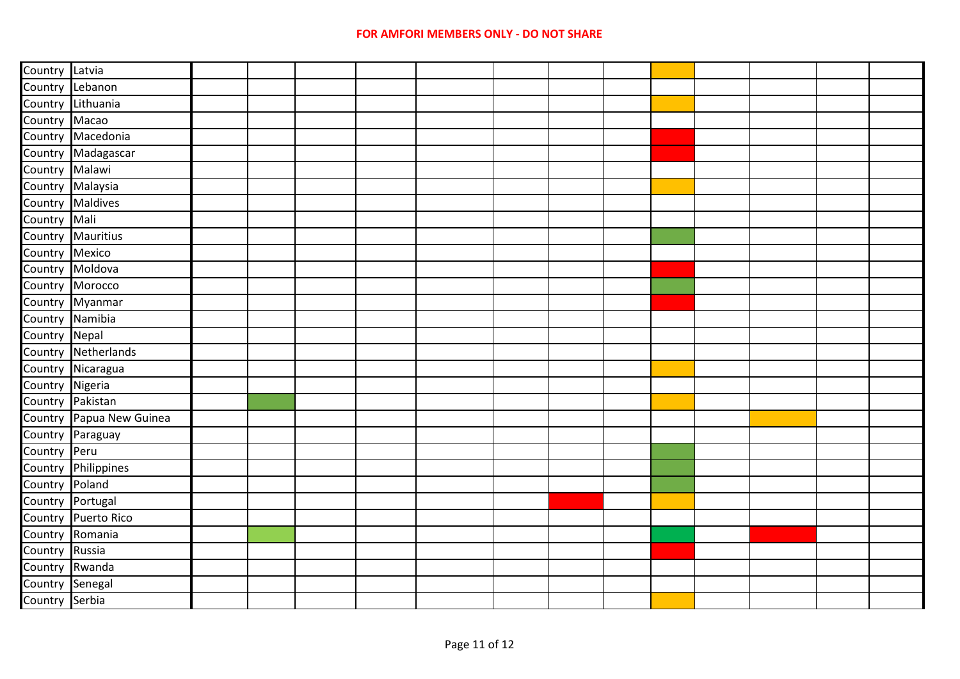| Country Latvia   |                          |  |  |  |  |  |  |  |
|------------------|--------------------------|--|--|--|--|--|--|--|
| Country          | Lebanon                  |  |  |  |  |  |  |  |
| Country          | Lithuania                |  |  |  |  |  |  |  |
| Country          | Macao                    |  |  |  |  |  |  |  |
| Country          | Macedonia                |  |  |  |  |  |  |  |
| Country          | Madagascar               |  |  |  |  |  |  |  |
| Country          | Malawi                   |  |  |  |  |  |  |  |
| Country          | Malaysia                 |  |  |  |  |  |  |  |
| Country          | <b>Maldives</b>          |  |  |  |  |  |  |  |
| Country          | Mali                     |  |  |  |  |  |  |  |
| Country          | <b>Mauritius</b>         |  |  |  |  |  |  |  |
| Country          | Mexico                   |  |  |  |  |  |  |  |
| Country          | Moldova                  |  |  |  |  |  |  |  |
| Country          | Morocco                  |  |  |  |  |  |  |  |
|                  | Country Myanmar          |  |  |  |  |  |  |  |
| Country Namibia  |                          |  |  |  |  |  |  |  |
| Country          | Nepal                    |  |  |  |  |  |  |  |
|                  | Country Netherlands      |  |  |  |  |  |  |  |
|                  | Country Nicaragua        |  |  |  |  |  |  |  |
| Country Nigeria  |                          |  |  |  |  |  |  |  |
| Country          | Pakistan                 |  |  |  |  |  |  |  |
|                  | Country Papua New Guinea |  |  |  |  |  |  |  |
|                  | Country Paraguay         |  |  |  |  |  |  |  |
| Country          | Peru                     |  |  |  |  |  |  |  |
| Country          | Philippines              |  |  |  |  |  |  |  |
| Country          | Poland                   |  |  |  |  |  |  |  |
| Country Portugal |                          |  |  |  |  |  |  |  |
| Country          | <b>Puerto Rico</b>       |  |  |  |  |  |  |  |
|                  | Country Romania          |  |  |  |  |  |  |  |
| Country Russia   |                          |  |  |  |  |  |  |  |
| Country          | Rwanda                   |  |  |  |  |  |  |  |
| Country          | Senegal                  |  |  |  |  |  |  |  |
| Country Serbia   |                          |  |  |  |  |  |  |  |